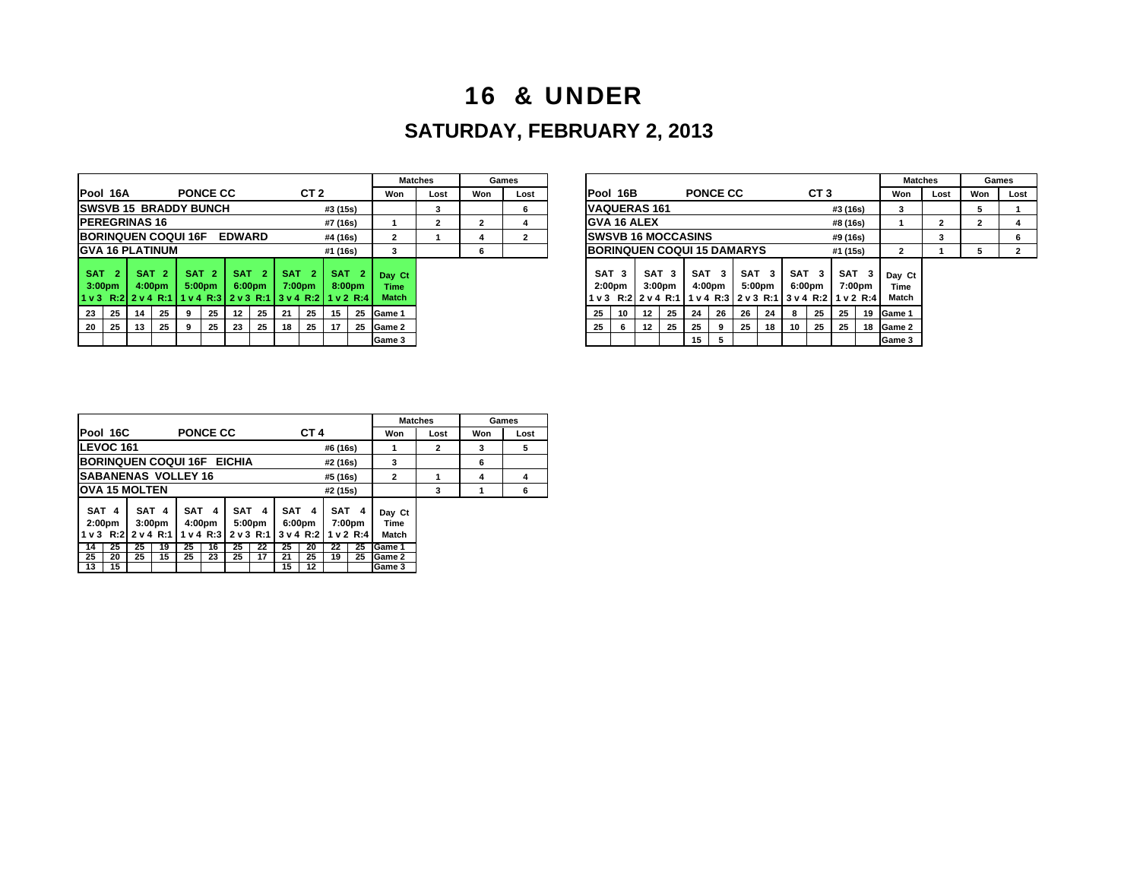## 16 & UNDER

## **SATURDAY, FEBRUARY 2, 2013**

|                                                                   |                                                                                                 |                    |                  |            |                          |                  |                                        |            |                 |                                                      |                          |                                | <b>Matches</b> |     | Games |                 |                                        |                                                             |                                        |    |                            |     |              |    |                            |          |             | M.                     |  |
|-------------------------------------------------------------------|-------------------------------------------------------------------------------------------------|--------------------|------------------|------------|--------------------------|------------------|----------------------------------------|------------|-----------------|------------------------------------------------------|--------------------------|--------------------------------|----------------|-----|-------|-----------------|----------------------------------------|-------------------------------------------------------------|----------------------------------------|----|----------------------------|-----|--------------|----|----------------------------|----------|-------------|------------------------|--|
| Pool 16A                                                          |                                                                                                 |                    |                  |            | <b>PONCE CC</b>          |                  |                                        |            | CT <sub>2</sub> |                                                      |                          | Won                            | Lost           | Won | Lost  | <b>Pool 16B</b> |                                        |                                                             |                                        |    | <b>PONCE CC</b>            |     |              |    | CT <sub>3</sub>            |          |             | Won                    |  |
| <b>ISWSVB 15 BRADDY BUNCH</b>                                     |                                                                                                 |                    |                  |            |                          |                  |                                        |            |                 | #3 (15s)                                             |                          |                                | 3              |     | 6     |                 |                                        | <b>IVAQUERAS 161</b>                                        |                                        |    |                            |     |              |    | 3                          |          |             |                        |  |
| <b>IPEREGRINAS 16</b>                                             |                                                                                                 |                    |                  |            |                          |                  |                                        |            |                 | #7 (16s)                                             |                          |                                | 2              |     |       |                 |                                        | <b>IGVA 16 ALEX</b>                                         |                                        |    | #8 (16s)                   |     |              |    |                            |          |             |                        |  |
| <b>IBORINQUEN COQUI 16F</b><br><b>EDWARD</b><br>#4 (16s)          |                                                                                                 |                    |                  |            |                          |                  |                                        |            |                 |                                                      |                          | 2                              |                |     |       |                 |                                        | <b>ISWSVB 16 MOCCASINS</b>                                  |                                        |    |                            |     |              |    |                            | #9 (16s) |             |                        |  |
|                                                                   | <b>IGVA 16 PLATINUM</b><br><b>IBORINQUEN COQUI 15 DAMARYS</b><br>#1 (16s)<br>#1 (15s)<br>3<br>6 |                    |                  |            |                          |                  |                                        |            |                 |                                                      |                          |                                | $\overline{2}$ |     |       |                 |                                        |                                                             |                                        |    |                            |     |              |    |                            |          |             |                        |  |
| <b>SAT</b><br>3:00 <sub>pm</sub><br>$1 \vee 3$ R:2 $2 \vee 4$ R:1 | -2                                                                                              | 4:00 <sub>pm</sub> | SAT <sub>2</sub> | <b>SAT</b> | -2<br>5:00 <sub>pm</sub> |                  | SAT <sub>2</sub><br>6:00 <sub>pm</sub> | <b>SAT</b> | 7:00pm          | <b>SAT</b><br>v4 R:3 2 v 3 R:1 3 v 4 R:2 1 1 v 2 R:4 | -2<br>8:00 <sub>pm</sub> | Day Ct<br>Time<br><b>Match</b> |                |     |       | l 1 v 3         | SAT <sub>3</sub><br>2:00 <sub>pm</sub> | R:2 2 v 4 R:1 1 1 v 4 R:3 2 v 3 R:1 1 3 v 4 R:2 1 1 v 2 R:4 | SAT <sub>3</sub><br>3:00 <sub>pm</sub> |    | SAT <sub>3</sub><br>4:00pm | SAT | з.<br>5:00pm |    | SAT <sub>3</sub><br>6:00pm | SAT      | 3<br>7:00pm | Day C<br>Time<br>Match |  |
| 23                                                                | 25                                                                                              | 14                 | 25               |            | 25                       | 12 <sup>12</sup> | 25                                     | -21        | 25              | 15                                                   | 25                       | <b>IGame 1</b>                 |                |     |       | 25              | 10                                     | $12 \,$                                                     | 25                                     | 24 | 26                         | 26  | 24           | 8  | 25                         | 25       | 19          | <b>IGame 1</b>         |  |
| 20                                                                | 25                                                                                              | 13                 | 25               |            | 25                       | 23               | 25                                     | 18         | 25              | 17                                                   |                          | 25 Game 2                      |                |     |       | 25              |                                        | $12 \,$                                                     | 25                                     | 25 |                            | 25  | 18           | 10 | 25                         | - 25     |             | 18 Game 2              |  |
|                                                                   |                                                                                                 |                    |                  |            |                          |                  |                                        |            |                 |                                                      |                          | Game 3                         |                |     |       |                 |                                        |                                                             |                                        | 15 |                            |     |              |    |                            |          |             | <b>IGame 3</b>         |  |

|                   |                                        |                 |                                        |    |                                                                    |                          |            |                    |                                       | Matches |                                    | Games                      |                                        |    |    |                                        |                                                                                       |    |            |              |               |                 |                            | <b>Matches</b> |                         |      | Games        |      |
|-------------------|----------------------------------------|-----------------|----------------------------------------|----|--------------------------------------------------------------------|--------------------------|------------|--------------------|---------------------------------------|---------|------------------------------------|----------------------------|----------------------------------------|----|----|----------------------------------------|---------------------------------------------------------------------------------------|----|------------|--------------|---------------|-----------------|----------------------------|----------------|-------------------------|------|--------------|------|
|                   |                                        | <b>PONCE CC</b> |                                        |    |                                                                    | CT <sub>2</sub>          |            |                    | Won                                   | Lost    | Won                                | Lost                       | <b>IPool 16B</b>                       |    |    |                                        | <b>PONCE CC</b>                                                                       |    |            |              |               | CT <sub>3</sub> |                            |                | Won                     | Lost | Won          | Lost |
| <b>ADDY BUNCH</b> |                                        |                 |                                        |    |                                                                    |                          | #3 (15s)   |                    |                                       |         |                                    | 6                          | <b>VAQUERAS 161</b>                    |    |    |                                        |                                                                                       |    |            |              |               |                 | #3 (16s)                   |                |                         |      | 5            |      |
|                   |                                        |                 |                                        |    |                                                                    |                          | #7 (16s)   |                    |                                       |         |                                    |                            | <b>GVA 16 ALEX</b>                     |    |    |                                        |                                                                                       |    |            |              |               |                 | #8 (16s)                   |                |                         |      | $\mathbf{2}$ |      |
|                   | <b>DQUI 16F</b><br><b>EDWARD</b>       |                 |                                        |    |                                                                    | #4 (16s)                 |            |                    |                                       |         | 2                                  | <b>ISWSVB 16 MOCCASINS</b> |                                        |    |    |                                        |                                                                                       |    |            |              |               | #9 (16s)        |                            |                |                         |      |              |      |
| UM                |                                        |                 |                                        |    | #1 (16s)                                                           |                          |            |                    |                                       |         | <b>IBORINQUEN COQUI 15 DAMARYS</b> |                            |                                        |    |    |                                        |                                                                                       |    |            |              | #1 (15s)      |                 | $\overline{2}$             |                |                         |      |              |      |
| 2.                | SAT <sub>2</sub><br>5:00 <sub>pm</sub> |                 | SAT <sub>2</sub><br>6:00 <sub>pm</sub> |    | <b>SAT</b><br>:1 1 1 v 4 R:3 1 2 v 3 R:1 1 3 v 4 R:2 1 1 v 2 R:4 1 | -2<br>7:00 <sub>pm</sub> | <b>SAT</b> | 8:00 <sub>pm</sub> | Day Ct<br><b>Time</b><br><b>Match</b> |         |                                    |                            | SAT <sub>3</sub><br>2:00 <sub>pm</sub> |    |    | SAT <sub>3</sub><br>3:00 <sub>pm</sub> | <b>SAT</b><br>4:00pm<br>lv3 R:2 2 v 4 R:1 1 v 4 R:3 2 v 3 R:1 1 3 v 4 R:2 1 v 2 R:4 1 | 3. | <b>SAT</b> | -3<br>5:00pm | SAT<br>6:00pm | - 3             | SAT <sub>3</sub><br>7:00pm |                | Day Ct<br>Time<br>Match |      |              |      |
| 9                 |                                        | 25              | 12                                     | 25 | 21                                                                 | 25                       | 15         |                    | 25 Game 1                             |         |                                    |                            | 25                                     | 10 | 12 | - 25                                   | 24                                                                                    | 26 | 26         | 24           | 8             | 25              | 25                         | 19             | Game 1                  |      |              |      |
| 9                 |                                        | 25              | 23                                     | 25 | 18                                                                 | - 25                     |            |                    | 25 Game 2                             |         |                                    |                            | 25                                     | -6 | 12 | 25                                     | 25                                                                                    |    | 25         | 18           | 10            | 25              | 25                         | 18             | Game 2                  |      |              |      |
|                   |                                        |                 |                                        |    |                                                                    |                          |            |                    | Game 3                                |         |                                    |                            |                                        |    |    |                                        | 15                                                                                    |    |            |              |               |                 |                            |                | Game 3                  |      |              |      |

|                                                                                          |                                                                  |                                                      |                                                                 | <b>Matches</b>                            |                     |          | Games                                                           |                                                       |              |     |      |
|------------------------------------------------------------------------------------------|------------------------------------------------------------------|------------------------------------------------------|-----------------------------------------------------------------|-------------------------------------------|---------------------|----------|-----------------------------------------------------------------|-------------------------------------------------------|--------------|-----|------|
| <b>Pool 16C</b>                                                                          |                                                                  | <b>PONCE CC</b>                                      |                                                                 |                                           | CT <sub>4</sub>     |          |                                                                 | Won                                                   | Lost         | Won | Lost |
| <b>LEVOC 161</b>                                                                         |                                                                  |                                                      |                                                                 |                                           |                     | #6 (16s) |                                                                 | 1                                                     | $\mathbf{2}$ | 3   | 5    |
| BORINQUEN COQUI 16F EICHIA                                                               |                                                                  |                                                      | #2 (16s)                                                        | 3                                         |                     | 6        |                                                                 |                                                       |              |     |      |
| <b>SABANENAS VOLLEY 16</b>                                                               |                                                                  |                                                      | 2                                                               | 1                                         | 4                   | 4        |                                                                 |                                                       |              |     |      |
| IOVA 15 MOLTEN                                                                           |                                                                  |                                                      |                                                                 |                                           |                     | #2 (15s) |                                                                 |                                                       | 3            |     | 6    |
| SAT 4<br>2:00 <sub>pm</sub><br><b>R:21</b><br>$1v$ 3<br>25<br>14<br>25<br>20<br>13<br>15 | SAT 4<br>3:00 <sub>pm</sub><br>2 v 4 R:1<br>25<br>19<br>15<br>25 | SAT 4<br>4:00pm<br>1 v 4 R:3<br>25<br>16<br>25<br>23 | SAT <sub>4</sub><br>5:00pm<br>2 v 3 R:1<br>25<br>22<br>25<br>17 | SAT<br>6:00pm<br>3v4R:2<br>25<br>21<br>15 | 4<br>20<br>25<br>12 | 22<br>19 | SAT <sub>4</sub><br>7:00 <sub>pm</sub><br>1 v 2 R:4<br>25<br>25 | Day Ct<br>Time<br>Match<br>Game 1<br>Game 2<br>Game 3 |              |     |      |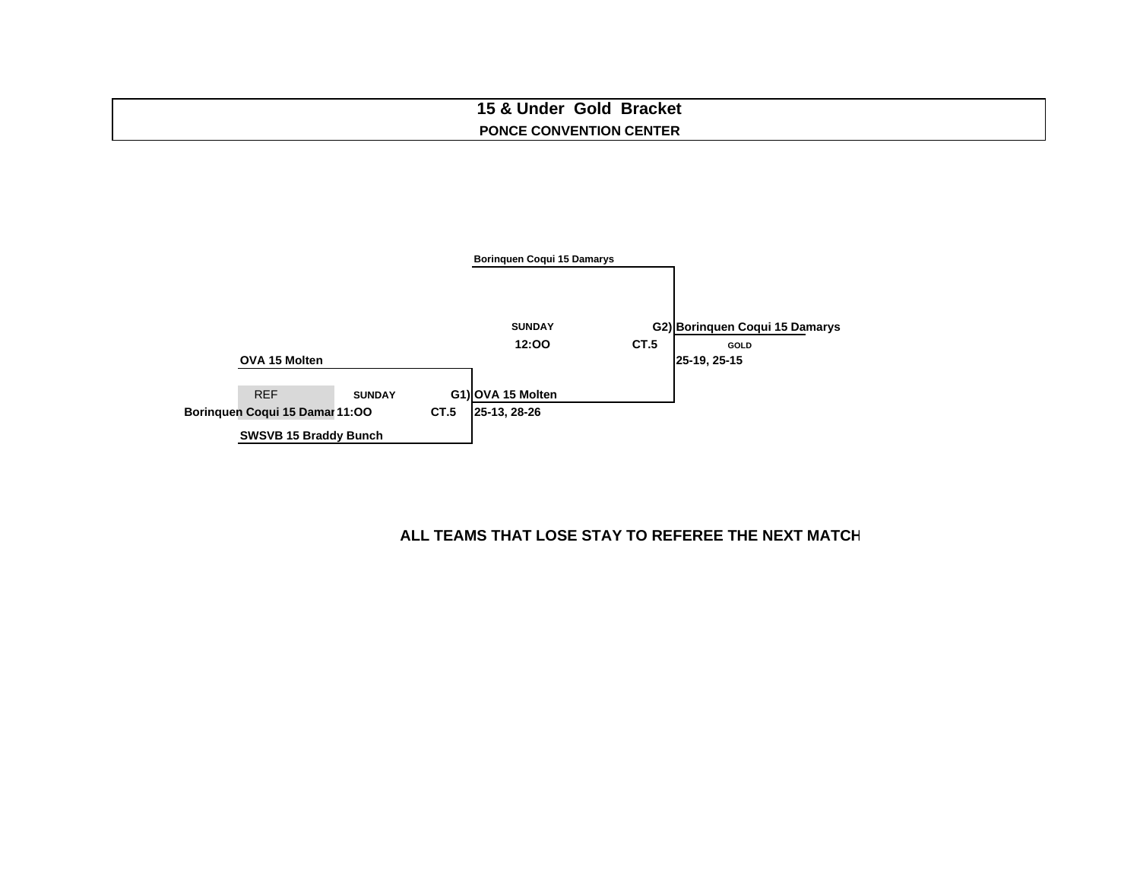### **15 & Under Gold Bracket PONCE CONVENTION CENTER**

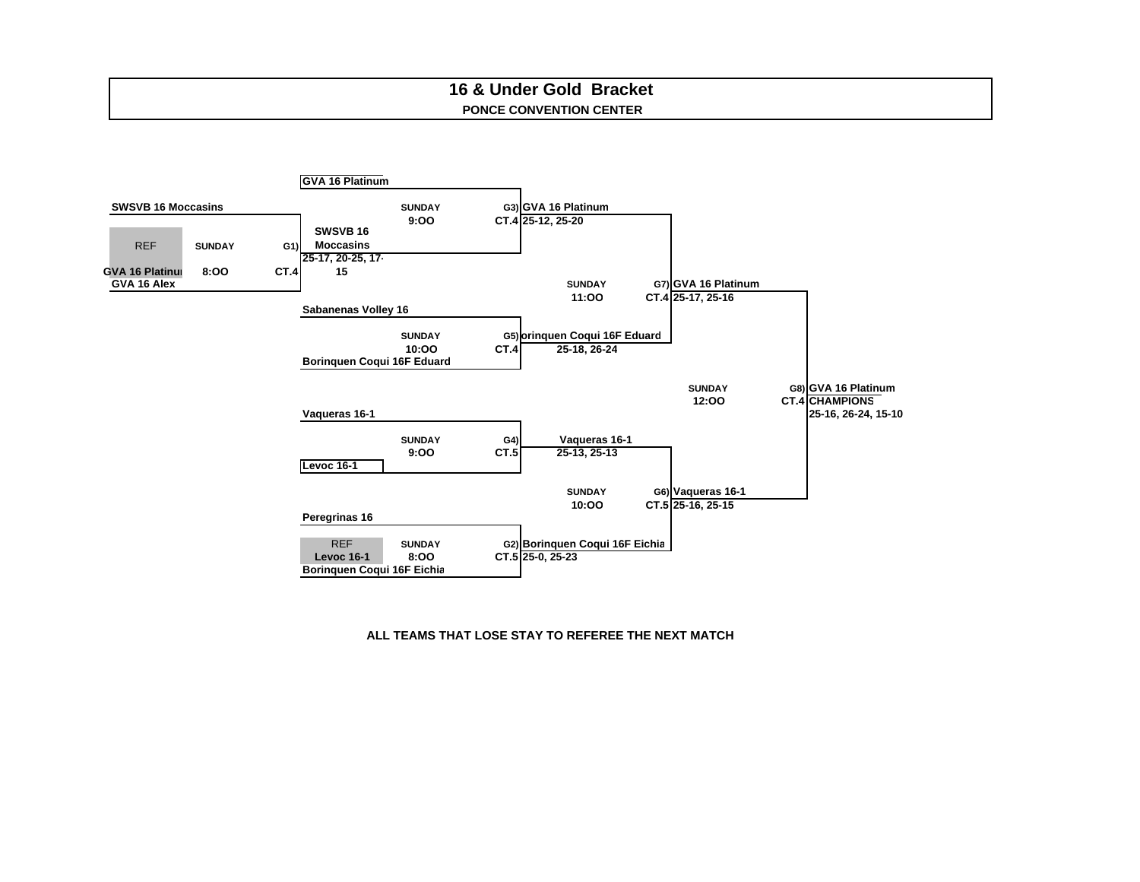### **PONCE CONVENTION CENTER16 & Under Gold Bracket**

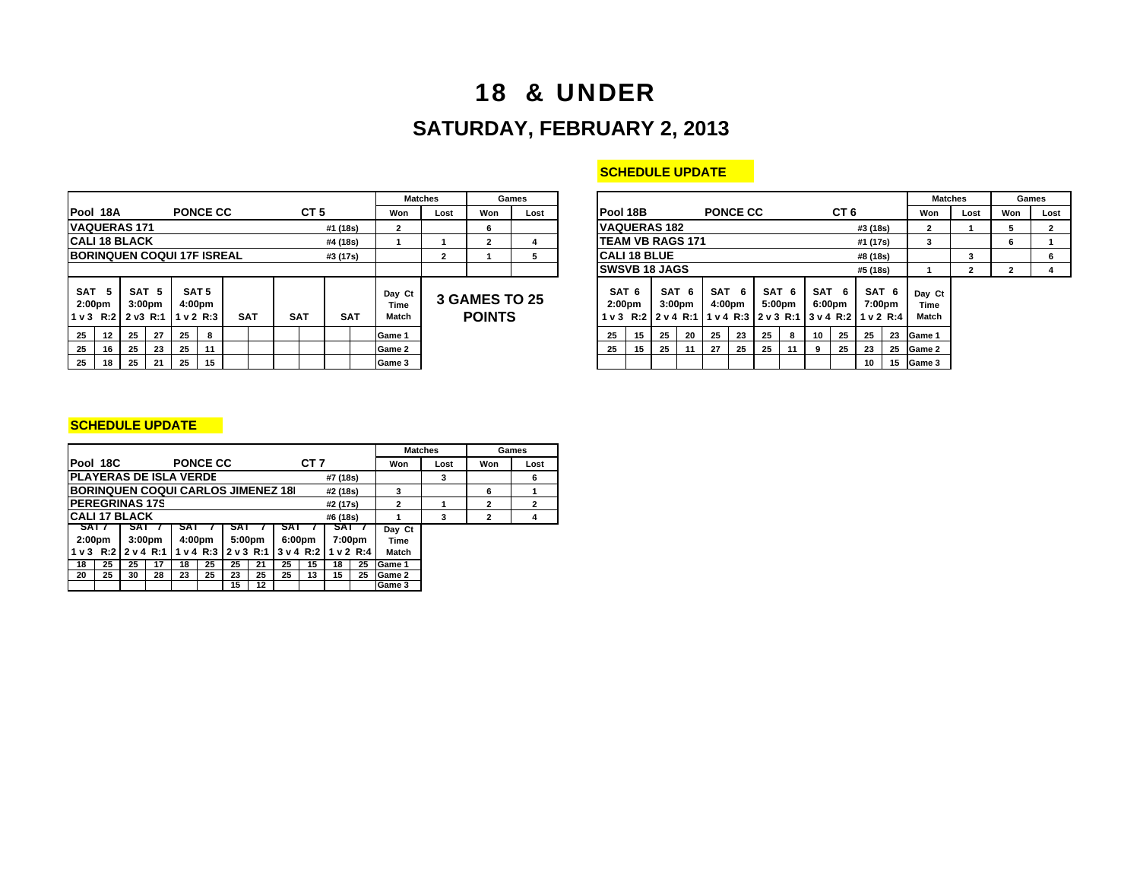# 18 & UNDER **SATURDAY, FEBRUARY 2, 2013**

|                                               |    |            |                                        |            |                            |  |            |            |                 |            |                         | <b>Matches</b>                        |     | Games |                                                  |                         |                                   |                             |     |                           |      |                 |                         |                 |           |                 |                        |  |  |
|-----------------------------------------------|----|------------|----------------------------------------|------------|----------------------------|--|------------|------------|-----------------|------------|-------------------------|---------------------------------------|-----|-------|--------------------------------------------------|-------------------------|-----------------------------------|-----------------------------|-----|---------------------------|------|-----------------|-------------------------|-----------------|-----------|-----------------|------------------------|--|--|
| Pool 18A                                      |    |            |                                        |            | <b>PONCE CC</b>            |  |            |            | CT <sub>5</sub> |            | Won                     | Lost                                  | Won | Lost  | <b>IPool 18B</b>                                 |                         |                                   |                             |     | <b>PONCE CC</b>           |      |                 |                         | CT <sub>6</sub> |           |                 | Won                    |  |  |
| <b>IVAQUERAS 171</b>                          |    |            |                                        |            |                            |  |            |            | #1 (18s)        |            | 2                       |                                       | 6   |       | <b>VAQUERAS 182</b>                              |                         |                                   |                             |     |                           |      | #3 (18s)        |                         |                 |           |                 |                        |  |  |
| <b>ICALI 18 BLACK</b><br>#4 (18s)             |    |            |                                        |            |                            |  |            |            |                 |            |                         | $\mathbf{2}$                          |     |       |                                                  | <b>TEAM VB RAGS 171</b> |                                   |                             |     |                           |      |                 |                         | #1 (17s)        |           | 3               |                        |  |  |
| <b>BORINQUEN COQUI 17F ISREAL</b><br>#3 (17s) |    |            |                                        |            |                            |  |            |            |                 |            |                         | $\mathbf{2}$                          |     | 5     | <b>CALI 18 BLUE</b>                              |                         |                                   |                             |     |                           |      |                 |                         |                 | #8 (18s)  |                 |                        |  |  |
|                                               |    |            |                                        |            |                            |  |            |            |                 |            |                         |                                       |     |       | <b>ISWSVB 18 JAGS</b>                            |                         |                                   |                             |     |                           |      |                 |                         |                 | #5 (18s)  |                 |                        |  |  |
| <b>SAT</b><br>2:00 <sub>pm</sub><br>11 v 3    | -5 | R:212V3R:1 | SAT <sub>5</sub><br>3:00 <sub>pm</sub> | 11 v 2 R:3 | SAT <sub>5</sub><br>4:00pm |  | <b>SAT</b> | <b>SAT</b> |                 | <b>SAT</b> | Day Ct<br>Time<br>Match | <b>3 GAMES TO 25</b><br><b>POINTS</b> |     |       | SAT <sub>6</sub><br>2:00 <sub>pm</sub><br>$1v$ 3 |                         | R:2 2 v 4 R:1 1 v 4 R:3 2 v 3 R:1 | SAT 6<br>3:00 <sub>pm</sub> | SAT | - 6<br>4:00 <sub>pm</sub> |      | SAT 6<br>5:00pm | SAT<br>6:00pm<br>3v4R:2 | - 6             | 1 v 2 R:4 | SAT 6<br>7:00pm | Day C<br>Time<br>Match |  |  |
| 25                                            | 12 | 25         | 27                                     | 25         | 8                          |  |            |            |                 |            | Game 1                  |                                       |     |       | 25                                               | 15                      | 25                                | 20                          | 25  | 23                        | - 25 | 8               | 10                      | 25              | -25       | 23              | Game 1                 |  |  |
| 25                                            | 16 | 25         | 23                                     | 25         | 11                         |  |            |            |                 |            | Game 2                  |                                       |     |       | 25                                               | 15                      | 25                                | 11                          | 27  | 25                        | 25   |                 | 9                       | 25              | - 23      | 25              | Game 2                 |  |  |
| 25                                            | 18 | -25        | 21                                     | 25         | 15                         |  |            |            |                 |            | Game 3                  |                                       |     |       |                                                  |                         |                                   |                             |     |                           |      |                 |                         |                 | 10        |                 | 15 Game 3              |  |  |

### **SCHEDULE UPDATE**

|          |                                       | <b>Matches</b><br>Games |  |            |  |                 |            |  |                         |      |                                       | <b>Matches</b> |                                 |                             | Games |    |                 |                 |                 |                                                                                                 |    |        |                 |          |                 |                         |      |     |      |
|----------|---------------------------------------|-------------------------|--|------------|--|-----------------|------------|--|-------------------------|------|---------------------------------------|----------------|---------------------------------|-----------------------------|-------|----|-----------------|-----------------|-----------------|-------------------------------------------------------------------------------------------------|----|--------|-----------------|----------|-----------------|-------------------------|------|-----|------|
|          | <b>PONCE CC</b>                       |                         |  |            |  | CT <sub>5</sub> |            |  | Won                     | Lost | Won                                   | Lost           |                                 | <b>Pool 18B</b>             |       |    |                 | <b>PONCE CC</b> |                 |                                                                                                 |    |        | CT <sub>6</sub> |          |                 | Won                     | Lost | Won | Lost |
|          |                                       |                         |  |            |  |                 | #1 (18s)   |  |                         |      | 6                                     |                | <b>VAQUERAS 182</b><br>#3 (18s) |                             |       |    |                 |                 |                 |                                                                                                 |    |        |                 |          | C               |                         |      |     |      |
|          |                                       |                         |  |            |  |                 | #4 (18s)   |  |                         |      |                                       |                |                                 | <b>ITEAM VB RAGS 171</b>    |       |    |                 |                 |                 |                                                                                                 |    |        |                 | #1 (17s) |                 |                         |      | 6   |      |
|          | <b>COQUI 17F ISREAL:</b><br>#3 (17s)  |                         |  |            |  |                 |            |  | $\mathbf{2}$            |      |                                       |                | <b>CALI 18 BLUE</b>             |                             |       |    |                 |                 |                 |                                                                                                 |    |        | #8 (18s)        |          |                 |                         |      | 6   |      |
|          |                                       |                         |  |            |  |                 |            |  |                         |      |                                       |                |                                 | <b>ISWSVB 18 JAGS</b>       |       |    |                 |                 |                 |                                                                                                 |    |        |                 | #5 (18s) |                 |                         |      |     |      |
| 5<br>)pm | SAT 5<br>4:00pm<br>$R:1$ 1 $v2$ $R:3$ |                         |  | <b>SAT</b> |  | <b>SAT</b>      | <b>SAT</b> |  | Day Ct<br>Time<br>Match |      | <b>3 GAMES TO 25</b><br><b>POINTS</b> |                |                                 | SAT 6<br>2:00 <sub>pm</sub> |       |    | SAT 6<br>3:00pm |                 | SAT 6<br>4:00pm | SAT 6<br>5:00pm<br>1 v 3   R:2   2 v 4  R:1   1 v 4  R:3   2 v 3  R:1   3 v 4  R:2   1 v 2  R:4 |    | 6:00pm | SAT 6           |          | SAT 6<br>7:00pm | Day Ct<br>Time<br>Match |      |     |      |
| 27       | 25                                    | 8                       |  |            |  |                 |            |  | Game 1                  |      |                                       |                |                                 | 25                          | 15    | 25 | 20              | 25              | 23              | 25                                                                                              |    | 10     | 25              | 25       |                 | 23 Game 1               |      |     |      |
| 23       | 25                                    | 11                      |  |            |  |                 |            |  | Game 2                  |      |                                       |                |                                 | 25                          | 15    | 25 | 11              | 27              | 25              | 25                                                                                              | 11 | 9.     | 25              | 23       | - 25            | Game 2                  |      |     |      |
| 21       | 25                                    | 15                      |  |            |  |                 |            |  | Game 3                  |      |                                       |                |                                 |                             |       |    |                 |                 |                 |                                                                                                 |    |        |                 | 10       |                 | 15 Game 3               |      |     |      |

#### **SCHEDULE UPDATE**

|                                            |                                              |                                        |                    |     |                 |        |    |                |        |                                         |  |        | <b>Matches</b> |              | Games |
|--------------------------------------------|----------------------------------------------|----------------------------------------|--------------------|-----|-----------------|--------|----|----------------|--------|-----------------------------------------|--|--------|----------------|--------------|-------|
| Pool 18C                                   |                                              |                                        |                    |     | <b>PONCE CC</b> |        |    |                | CT 7   |                                         |  | Won    | Lost           | Won          | Lost  |
| <b>PLAYERAS DE ISLA VERDE</b>              |                                              |                                        |                    |     |                 |        |    |                |        | #7 (18s)                                |  |        | 3              |              | 6     |
| <b>IBORINQUEN COQUI CARLOS JIMENEZ 181</b> |                                              |                                        |                    |     |                 |        |    |                |        | #2 (18s)                                |  | 3      |                | 6            |       |
| <b>IPEREGRINAS 17S</b>                     |                                              |                                        |                    |     | 2               |        | 2  | $\overline{2}$ |        |                                         |  |        |                |              |       |
| <b>ICALI 17 BLACK</b>                      |                                              |                                        |                    |     |                 |        |    |                |        | #6 (18s)                                |  |        | 3              | $\mathbf{2}$ | 4     |
| -SAT 7                                     |                                              | SAT                                    |                    | SAT |                 | SA 1   |    | <b>SA</b>      |        | SAT                                     |  | Day Ct |                |              |       |
| 2:00pm                                     |                                              |                                        | 3:00 <sub>pm</sub> |     | 4:00pm          | 5:00pm |    | 6:00pm         |        | 7:00pm                                  |  | Time   |                |              |       |
| $1 \vee 3$ R:2 $2 \vee 4$ R:1              |                                              |                                        |                    |     |                 |        |    |                |        | 1 v 4 R:3 2 v 3 R:1 3 v 4 R:2 1 v 2 R:4 |  | Match  |                |              |       |
| 18                                         | 25<br>25<br>25<br>25<br>21<br>25<br>17<br>18 |                                        |                    |     |                 |        | 15 | 18             | 25     | Game 1                                  |  |        |                |              |       |
| 20                                         | 25                                           | 25<br>25<br>25<br>23<br>28<br>23<br>30 |                    |     |                 | 13     | 15 | 25             | Game 2 |                                         |  |        |                |              |       |
| 15                                         |                                              |                                        |                    |     |                 |        | 12 |                |        |                                         |  | Game 3 |                |              |       |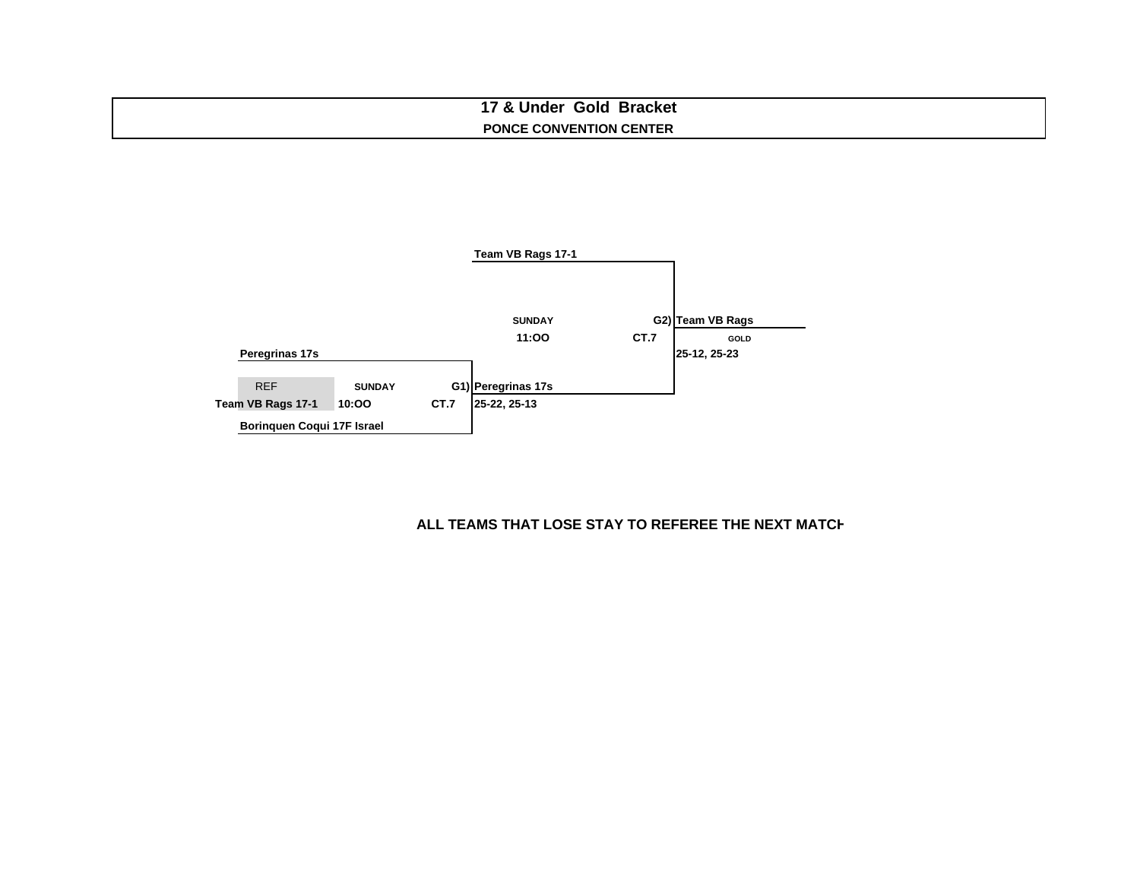### **17 & Under Gold Bracket PONCE CONVENTION CENTER**